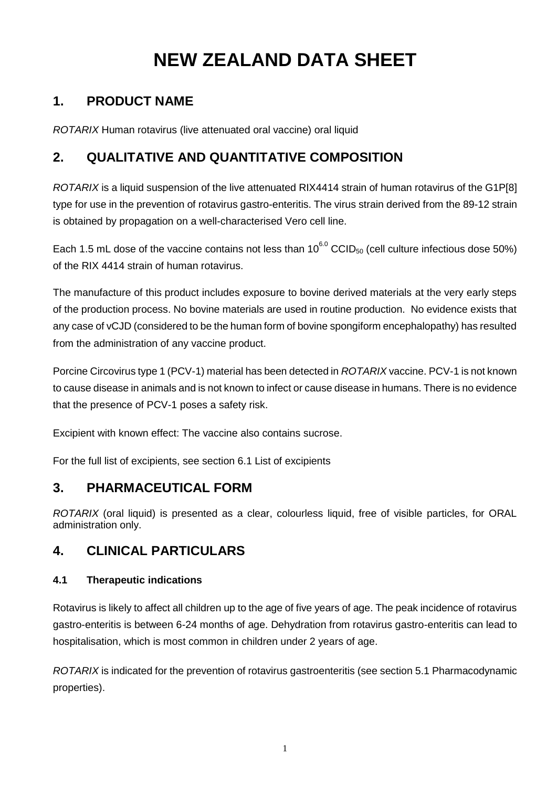# **NEW ZEALAND DATA SHEET**

# **1. PRODUCT NAME**

*ROTARIX* Human rotavirus (live attenuated oral vaccine) oral liquid

# **2. QUALITATIVE AND QUANTITATIVE COMPOSITION**

*ROTARIX* is a liquid suspension of the live attenuated RIX4414 strain of human rotavirus of the G1P[8] type for use in the prevention of rotavirus gastro-enteritis. The virus strain derived from the 89-12 strain is obtained by propagation on a well-characterised Vero cell line.

Each 1.5 mL dose of the vaccine contains not less than  $10^{6.0}$  CCID<sub>50</sub> (cell culture infectious dose 50%) of the RIX 4414 strain of human rotavirus.

The manufacture of this product includes exposure to bovine derived materials at the very early steps of the production process. No bovine materials are used in routine production. No evidence exists that any case of vCJD (considered to be the human form of bovine spongiform encephalopathy) has resulted from the administration of any vaccine product.

Porcine Circovirus type 1 (PCV-1) material has been detected in *ROTARIX* vaccine. PCV-1 is not known to cause disease in animals and is not known to infect or cause disease in humans. There is no evidence that the presence of PCV-1 poses a safety risk.

Excipient with known effect: The vaccine also contains sucrose.

For the full list of excipients, see section 6.1 List of excipients

# **3. PHARMACEUTICAL FORM**

*ROTARIX* (oral liquid) is presented as a clear, colourless liquid, free of visible particles, for ORAL administration only.

# **4. CLINICAL PARTICULARS**

# **4.1 Therapeutic indications**

Rotavirus is likely to affect all children up to the age of five years of age. The peak incidence of rotavirus gastro-enteritis is between 6-24 months of age. Dehydration from rotavirus gastro-enteritis can lead to hospitalisation, which is most common in children under 2 years of age.

*ROTARIX* is indicated for the prevention of rotavirus gastroenteritis (see section 5.1 Pharmacodynamic properties).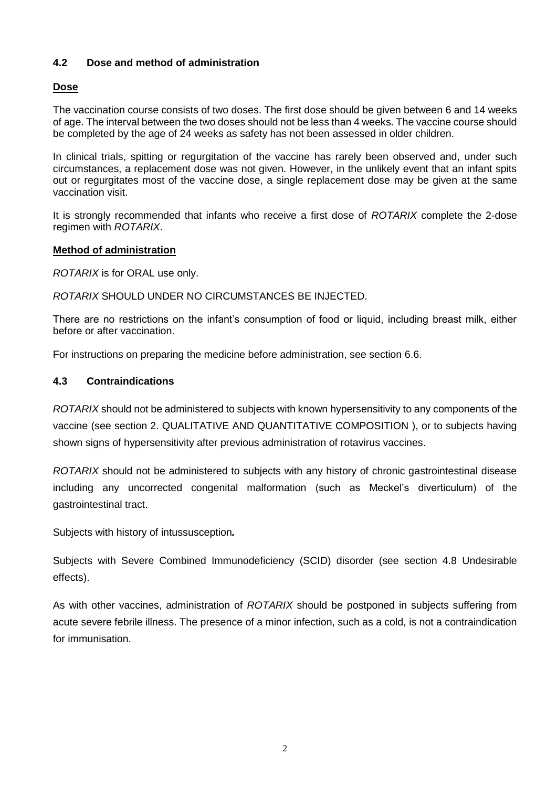### **4.2 Dose and method of administration**

### **Dose**

The vaccination course consists of two doses. The first dose should be given between 6 and 14 weeks of age. The interval between the two doses should not be less than 4 weeks. The vaccine course should be completed by the age of 24 weeks as safety has not been assessed in older children.

In clinical trials, spitting or regurgitation of the vaccine has rarely been observed and, under such circumstances, a replacement dose was not given. However, in the unlikely event that an infant spits out or regurgitates most of the vaccine dose, a single replacement dose may be given at the same vaccination visit.

It is strongly recommended that infants who receive a first dose of *ROTARIX* complete the 2-dose regimen with *ROTARIX*.

### **Method of administration**

*ROTARIX* is for ORAL use only.

*ROTARIX* SHOULD UNDER NO CIRCUMSTANCES BE INJECTED.

There are no restrictions on the infant's consumption of food or liquid, including breast milk, either before or after vaccination.

For instructions on preparing the medicine before administration, see section 6.6.

#### **4.3 Contraindications**

*ROTARIX* should not be administered to subjects with known hypersensitivity to any components of the vaccine (see section 2. QUALITATIVE AND QUANTITATIVE COMPOSITION ), or to subjects having shown signs of hypersensitivity after previous administration of rotavirus vaccines.

*ROTARIX* should not be administered to subjects with any history of chronic gastrointestinal disease including any uncorrected congenital malformation (such as Meckel's diverticulum) of the gastrointestinal tract.

Subjects with history of intussusception*.*

Subjects with Severe Combined Immunodeficiency (SCID) disorder (see section 4.8 Undesirable effects).

As with other vaccines, administration of *ROTARIX* should be postponed in subjects suffering from acute severe febrile illness. The presence of a minor infection, such as a cold, is not a contraindication for immunisation.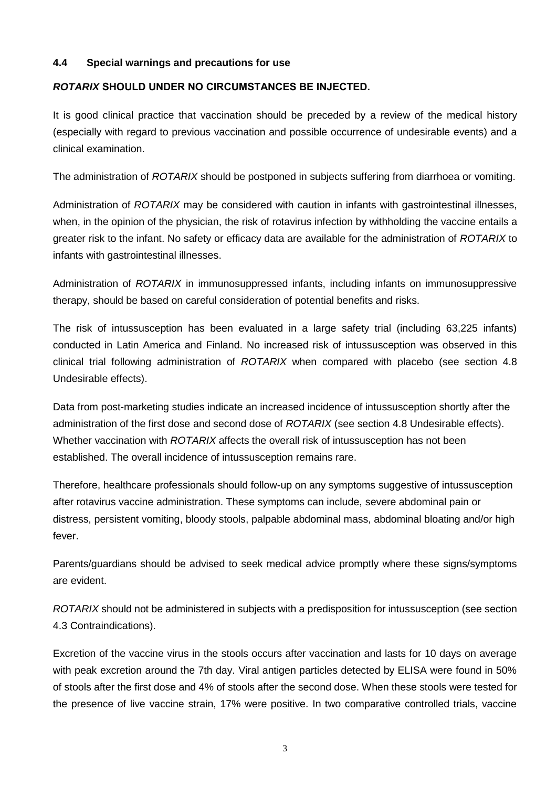### **4.4 Special warnings and precautions for use**

### *ROTARIX* **SHOULD UNDER NO CIRCUMSTANCES BE INJECTED.**

It is good clinical practice that vaccination should be preceded by a review of the medical history (especially with regard to previous vaccination and possible occurrence of undesirable events) and a clinical examination.

The administration of *ROTARIX* should be postponed in subjects suffering from diarrhoea or vomiting.

Administration of *ROTARIX* may be considered with caution in infants with gastrointestinal illnesses, when, in the opinion of the physician, the risk of rotavirus infection by withholding the vaccine entails a greater risk to the infant. No safety or efficacy data are available for the administration of *ROTARIX* to infants with gastrointestinal illnesses.

Administration of *ROTARIX* in immunosuppressed infants, including infants on immunosuppressive therapy, should be based on careful consideration of potential benefits and risks.

The risk of intussusception has been evaluated in a large safety trial (including 63,225 infants) conducted in Latin America and Finland. No increased risk of intussusception was observed in this clinical trial following administration of *ROTARIX* when compared with placebo (see section 4.8 Undesirable effects).

Data from post-marketing studies indicate an increased incidence of intussusception shortly after the administration of the first dose and second dose of *ROTARIX* (see section 4.8 Undesirable effects). Whether vaccination with *ROTARIX* affects the overall risk of intussusception has not been established. The overall incidence of intussusception remains rare.

Therefore, healthcare professionals should follow-up on any symptoms suggestive of intussusception after rotavirus vaccine administration. These symptoms can include, severe abdominal pain or distress, persistent vomiting, bloody stools, palpable abdominal mass, abdominal bloating and/or high fever.

Parents/guardians should be advised to seek medical advice promptly where these signs/symptoms are evident.

*ROTARIX* should not be administered in subjects with a predisposition for intussusception (see section 4.3 Contraindications).

Excretion of the vaccine virus in the stools occurs after vaccination and lasts for 10 days on average with peak excretion around the 7th day. Viral antigen particles detected by ELISA were found in 50% of stools after the first dose and 4% of stools after the second dose. When these stools were tested for the presence of live vaccine strain, 17% were positive. In two comparative controlled trials, vaccine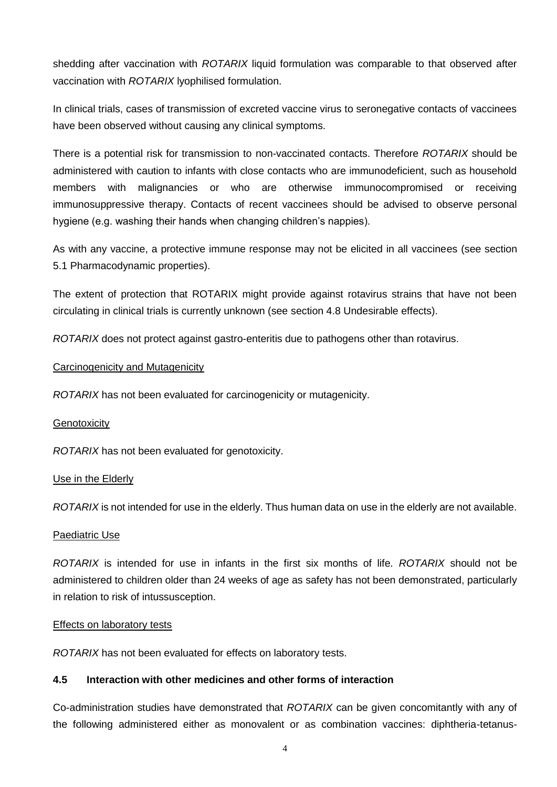shedding after vaccination with *ROTARIX* liquid formulation was comparable to that observed after vaccination with *ROTARIX* lyophilised formulation.

In clinical trials, cases of transmission of excreted vaccine virus to seronegative contacts of vaccinees have been observed without causing any clinical symptoms.

There is a potential risk for transmission to non-vaccinated contacts. Therefore *ROTARIX* should be administered with caution to infants with close contacts who are immunodeficient, such as household members with malignancies or who are otherwise immunocompromised or receiving immunosuppressive therapy. Contacts of recent vaccinees should be advised to observe personal hygiene (e.g. washing their hands when changing children's nappies).

As with any vaccine, a protective immune response may not be elicited in all vaccinees (see section 5.1 Pharmacodynamic properties).

The extent of protection that ROTARIX might provide against rotavirus strains that have not been circulating in clinical trials is currently unknown (see section 4.8 Undesirable effects).

*ROTARIX* does not protect against gastro-enteritis due to pathogens other than rotavirus.

### Carcinogenicity and Mutagenicity

*ROTARIX* has not been evaluated for carcinogenicity or mutagenicity.

#### **Genotoxicity**

*ROTARIX* has not been evaluated for genotoxicity.

#### Use in the Elderly

*ROTARIX* is not intended for use in the elderly. Thus human data on use in the elderly are not available.

#### Paediatric Use

*ROTARIX* is intended for use in infants in the first six months of life. *ROTARIX* should not be administered to children older than 24 weeks of age as safety has not been demonstrated, particularly in relation to risk of intussusception.

#### **Effects on laboratory tests**

*ROTARIX* has not been evaluated for effects on laboratory tests.

### **4.5 Interaction with other medicines and other forms of interaction**

Co-administration studies have demonstrated that *ROTARIX* can be given concomitantly with any of the following administered either as monovalent or as combination vaccines: diphtheria-tetanus-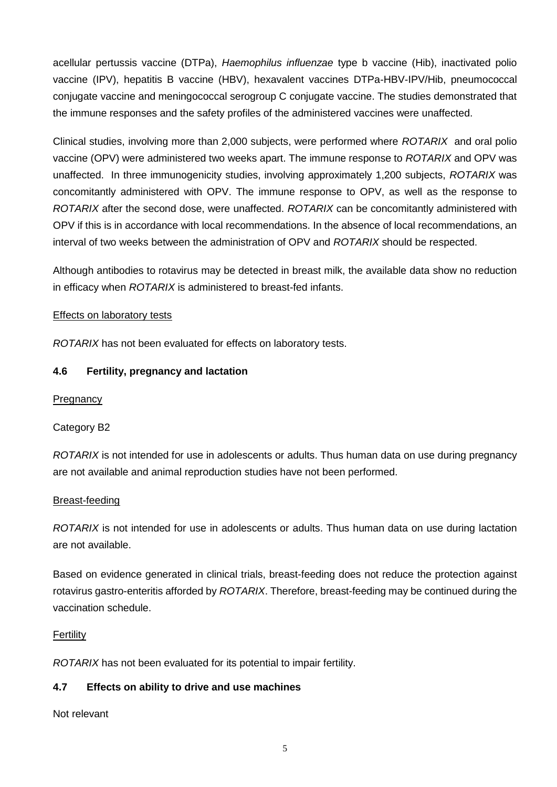acellular pertussis vaccine (DTPa), *Haemophilus influenzae* type b vaccine (Hib), inactivated polio vaccine (IPV), hepatitis B vaccine (HBV), hexavalent vaccines DTPa-HBV-IPV/Hib, pneumococcal conjugate vaccine and meningococcal serogroup C conjugate vaccine. The studies demonstrated that the immune responses and the safety profiles of the administered vaccines were unaffected.

Clinical studies, involving more than 2,000 subjects, were performed where *ROTARIX* and oral polio vaccine (OPV) were administered two weeks apart. The immune response to *ROTARIX* and OPV was unaffected. In three immunogenicity studies, involving approximately 1,200 subjects, *ROTARIX* was concomitantly administered with OPV. The immune response to OPV, as well as the response to *ROTARIX* after the second dose, were unaffected. *ROTARIX* can be concomitantly administered with OPV if this is in accordance with local recommendations. In the absence of local recommendations, an interval of two weeks between the administration of OPV and *ROTARIX* should be respected.

Although antibodies to rotavirus may be detected in breast milk, the available data show no reduction in efficacy when *ROTARIX* is administered to breast-fed infants.

### Effects on laboratory tests

*ROTARIX* has not been evaluated for effects on laboratory tests.

### **4.6 Fertility, pregnancy and lactation**

### **Pregnancy**

### Category B2

*ROTARIX* is not intended for use in adolescents or adults. Thus human data on use during pregnancy are not available and animal reproduction studies have not been performed.

### Breast-feeding

*ROTARIX* is not intended for use in adolescents or adults. Thus human data on use during lactation are not available.

Based on evidence generated in clinical trials, breast-feeding does not reduce the protection against rotavirus gastro-enteritis afforded by *ROTARIX*. Therefore, breast-feeding may be continued during the vaccination schedule.

### Fertility

*ROTARIX* has not been evaluated for its potential to impair fertility.

### **4.7 Effects on ability to drive and use machines**

Not relevant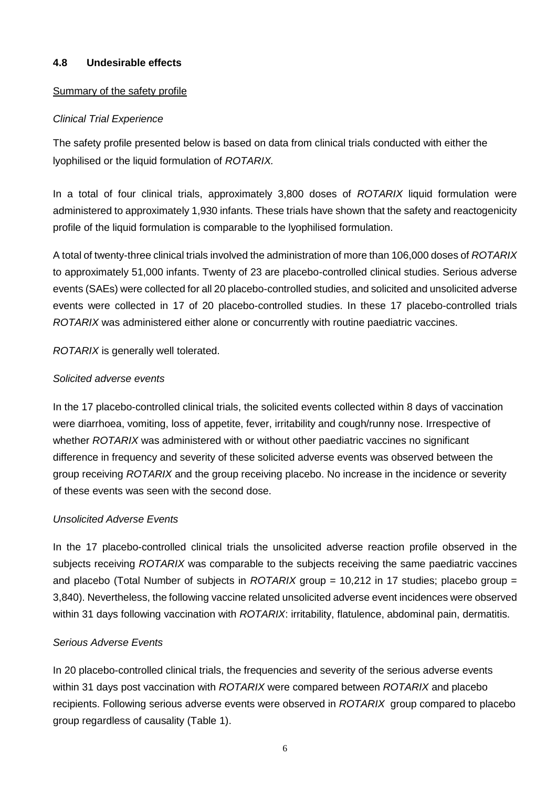### **4.8 Undesirable effects**

### Summary of the safety profile

### *Clinical Trial Experience*

The safety profile presented below is based on data from clinical trials conducted with either the lyophilised or the liquid formulation of *ROTARIX.*

In a total of four clinical trials, approximately 3,800 doses of *ROTARIX* liquid formulation were administered to approximately 1,930 infants. These trials have shown that the safety and reactogenicity profile of the liquid formulation is comparable to the lyophilised formulation.

A total of twenty-three clinical trials involved the administration of more than 106,000 doses of *ROTARIX* to approximately 51,000 infants. Twenty of 23 are placebo-controlled clinical studies. Serious adverse events (SAEs) were collected for all 20 placebo-controlled studies, and solicited and unsolicited adverse events were collected in 17 of 20 placebo-controlled studies. In these 17 placebo-controlled trials *ROTARIX* was administered either alone or concurrently with routine paediatric vaccines.

*ROTARIX* is generally well tolerated.

### *Solicited adverse events*

In the 17 placebo-controlled clinical trials, the solicited events collected within 8 days of vaccination were diarrhoea, vomiting, loss of appetite, fever, irritability and cough/runny nose. Irrespective of whether *ROTARIX* was administered with or without other paediatric vaccines no significant difference in frequency and severity of these solicited adverse events was observed between the group receiving *ROTARIX* and the group receiving placebo. No increase in the incidence or severity of these events was seen with the second dose.

### *Unsolicited Adverse Events*

In the 17 placebo-controlled clinical trials the unsolicited adverse reaction profile observed in the subjects receiving *ROTARIX* was comparable to the subjects receiving the same paediatric vaccines and placebo (Total Number of subjects in *ROTARIX* group = 10,212 in 17 studies; placebo group = 3,840). Nevertheless, the following vaccine related unsolicited adverse event incidences were observed within 31 days following vaccination with *ROTARIX*: irritability, flatulence, abdominal pain, dermatitis.

### *Serious Adverse Events*

In 20 placebo-controlled clinical trials, the frequencies and severity of the serious adverse events within 31 days post vaccination with *ROTARIX* were compared between *ROTARIX* and placebo recipients. Following serious adverse events were observed in *ROTARIX* group compared to placebo group regardless of causality (Table 1).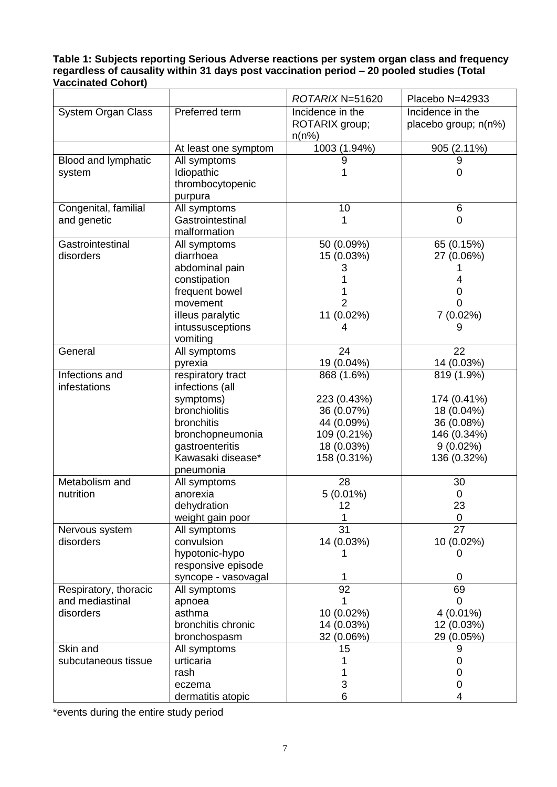**Table 1: Subjects reporting Serious Adverse reactions per system organ class and frequency regardless of causality within 31 days post vaccination period – 20 pooled studies (Total Vaccinated Cohort)**

|                           |                                 | ROTARIX N=51620                | Placebo N=42933      |
|---------------------------|---------------------------------|--------------------------------|----------------------|
| <b>System Organ Class</b> | Preferred term                  | Incidence in the               | Incidence in the     |
|                           |                                 | ROTARIX group;                 | placebo group; n(n%) |
|                           |                                 | n(n%)                          |                      |
|                           | At least one symptom            | 1003 (1.94%)                   | 905 (2.11%)          |
| Blood and lymphatic       | All symptoms                    |                                | 9                    |
| system                    | Idiopathic                      |                                | $\overline{0}$       |
|                           | thrombocytopenic                |                                |                      |
|                           | purpura                         |                                |                      |
| Congenital, familial      | All symptoms                    | 10                             | 6                    |
| and genetic               | Gastrointestinal                | 1                              | 0                    |
|                           | malformation                    |                                |                      |
| Gastrointestinal          | All symptoms                    | 50 (0.09%)                     | 65 (0.15%)           |
| disorders                 | diarrhoea                       | 15 (0.03%)                     | 27 (0.06%)           |
|                           | abdominal pain                  | 3                              |                      |
|                           | constipation                    |                                | 4                    |
|                           | frequent bowel                  |                                | 0                    |
|                           | movement                        | $\overline{2}$                 | 0                    |
|                           | illeus paralytic                | 11 (0.02%)                     | 7 (0.02%)            |
|                           | intussusceptions                | 4                              | 9                    |
|                           | vomiting                        |                                |                      |
| General                   | All symptoms                    | 24                             | 22                   |
|                           | pyrexia                         | 19 (0.04%)                     | 14 (0.03%)           |
| Infections and            | respiratory tract               | 868 (1.6%)                     | 819 (1.9%)           |
| infestations              | infections (all                 |                                |                      |
|                           | symptoms)                       | 223 (0.43%)                    | 174 (0.41%)          |
|                           | bronchiolitis                   | 36 (0.07%)                     | 18 (0.04%)           |
|                           | bronchitis                      | 44 (0.09%)                     | 36 (0.08%)           |
|                           | bronchopneumonia                | 109 (0.21%)                    | 146 (0.34%)          |
|                           | gastroenteritis                 | 18 (0.03%)                     | $9(0.02\%)$          |
|                           | Kawasaki disease*               | 158 (0.31%)                    | 136 (0.32%)          |
| Metabolism and            | pneumonia                       |                                |                      |
| nutrition                 | All symptoms<br>anorexia        | 28                             | 30                   |
|                           |                                 | $5(0.01\%)$<br>12 <sup>2</sup> | 0<br>23              |
|                           | dehydration<br>weight gain poor |                                | $\mathbf 0$          |
| Nervous system            | All symptoms                    | 31                             | 27                   |
| disorders                 | convulsion                      | 14 (0.03%)                     | 10 (0.02%)           |
|                           | hypotonic-hypo                  |                                | 0                    |
|                           | responsive episode              |                                |                      |
|                           | syncope - vasovagal             |                                | 0                    |
| Respiratory, thoracic     | All symptoms                    | 92                             | 69                   |
| and mediastinal           | apnoea                          |                                | 0                    |
| disorders                 | asthma                          | 10 (0.02%)                     | 4 (0.01%)            |
|                           | bronchitis chronic              | 14 (0.03%)                     | 12 (0.03%)           |
|                           | bronchospasm                    | 32 (0.06%)                     | 29 (0.05%)           |
| Skin and                  | All symptoms                    | 15                             | 9                    |
| subcutaneous tissue       | urticaria                       |                                | 0                    |
|                           | rash                            |                                | 0                    |
|                           | eczema                          | 3                              | 0                    |
|                           | dermatitis atopic               | 6                              | 4                    |

\*events during the entire study period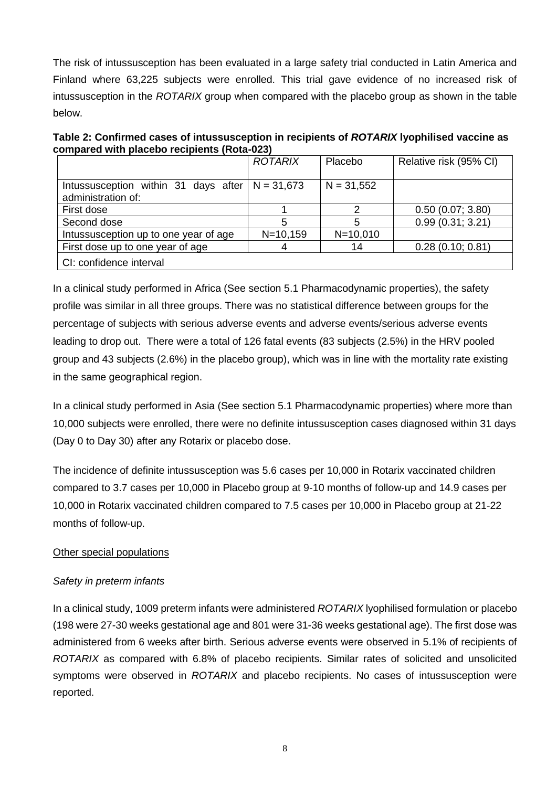The risk of intussusception has been evaluated in a large safety trial conducted in Latin America and Finland where 63,225 subjects were enrolled. This trial gave evidence of no increased risk of intussusception in the *ROTARIX* group when compared with the placebo group as shown in the table below.

**Table 2: Confirmed cases of intussusception in recipients of** *ROTARIX* **lyophilised vaccine as compared with placebo recipients (Rota-023)**

|                                                            | <b>ROTARIX</b> | Placebo      | Relative risk (95% CI) |
|------------------------------------------------------------|----------------|--------------|------------------------|
| Intussusception within 31 days after<br>administration of: | $N = 31,673$   | $N = 31,552$ |                        |
| First dose                                                 |                |              | 0.50(0.07; 3.80)       |
| Second dose                                                |                |              | 0.99(0.31; 3.21)       |
| Intussusception up to one year of age                      | $N = 10, 159$  | $N = 10,010$ |                        |
| First dose up to one year of age                           |                | 14           | 0.28(0.10; 0.81)       |
| CI: confidence interval                                    |                |              |                        |

In a clinical study performed in Africa (See section 5.1 Pharmacodynamic properties), the safety profile was similar in all three groups. There was no statistical difference between groups for the percentage of subjects with serious adverse events and adverse events/serious adverse events leading to drop out. There were a total of 126 fatal events (83 subjects (2.5%) in the HRV pooled group and 43 subjects (2.6%) in the placebo group), which was in line with the mortality rate existing in the same geographical region.

In a clinical study performed in Asia (See section 5.1 Pharmacodynamic properties) where more than 10,000 subjects were enrolled, there were no definite intussusception cases diagnosed within 31 days (Day 0 to Day 30) after any Rotarix or placebo dose.

The incidence of definite intussusception was 5.6 cases per 10,000 in Rotarix vaccinated children compared to 3.7 cases per 10,000 in Placebo group at 9-10 months of follow-up and 14.9 cases per 10,000 in Rotarix vaccinated children compared to 7.5 cases per 10,000 in Placebo group at 21-22 months of follow-up.

### Other special populations

### *Safety in preterm infants*

In a clinical study, 1009 preterm infants were administered *ROTARIX* lyophilised formulation or placebo (198 were 27-30 weeks gestational age and 801 were 31-36 weeks gestational age). The first dose was administered from 6 weeks after birth. Serious adverse events were observed in 5.1% of recipients of *ROTARIX* as compared with 6.8% of placebo recipients. Similar rates of solicited and unsolicited symptoms were observed in *ROTARIX* and placebo recipients. No cases of intussusception were reported.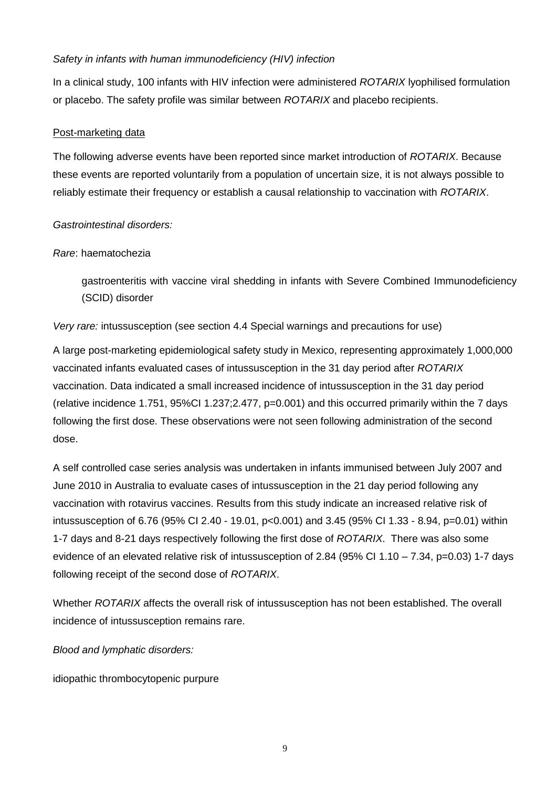### *Safety in infants with human immunodeficiency (HIV) infection*

In a clinical study, 100 infants with HIV infection were administered *ROTARIX* lyophilised formulation or placebo. The safety profile was similar between *ROTARIX* and placebo recipients.

### Post-marketing data

The following adverse events have been reported since market introduction of *ROTARIX*. Because these events are reported voluntarily from a population of uncertain size, it is not always possible to reliably estimate their frequency or establish a causal relationship to vaccination with *ROTARIX*.

### *Gastrointestinal disorders:*

#### *Rare*: haematochezia

gastroenteritis with vaccine viral shedding in infants with Severe Combined Immunodeficiency (SCID) disorder

*Very rare:* intussusception (see section 4.4 Special warnings and precautions for use)

A large post-marketing epidemiological safety study in Mexico, representing approximately 1,000,000 vaccinated infants evaluated cases of intussusception in the 31 day period after *ROTARIX* vaccination. Data indicated a small increased incidence of intussusception in the 31 day period (relative incidence 1.751, 95%CI 1.237;2.477, p=0.001) and this occurred primarily within the 7 days following the first dose. These observations were not seen following administration of the second dose.

A self controlled case series analysis was undertaken in infants immunised between July 2007 and June 2010 in Australia to evaluate cases of intussusception in the 21 day period following any vaccination with rotavirus vaccines. Results from this study indicate an increased relative risk of intussusception of 6.76 (95% CI 2.40 - 19.01, p<0.001) and 3.45 (95% CI 1.33 - 8.94, p=0.01) within 1-7 days and 8-21 days respectively following the first dose of *ROTARIX*. There was also some evidence of an elevated relative risk of intussusception of 2.84 (95% CI 1.10 – 7.34, p=0.03) 1-7 days following receipt of the second dose of *ROTARIX*.

Whether *ROTARIX* affects the overall risk of intussusception has not been established. The overall incidence of intussusception remains rare.

*Blood and lymphatic disorders:*

idiopathic thrombocytopenic purpure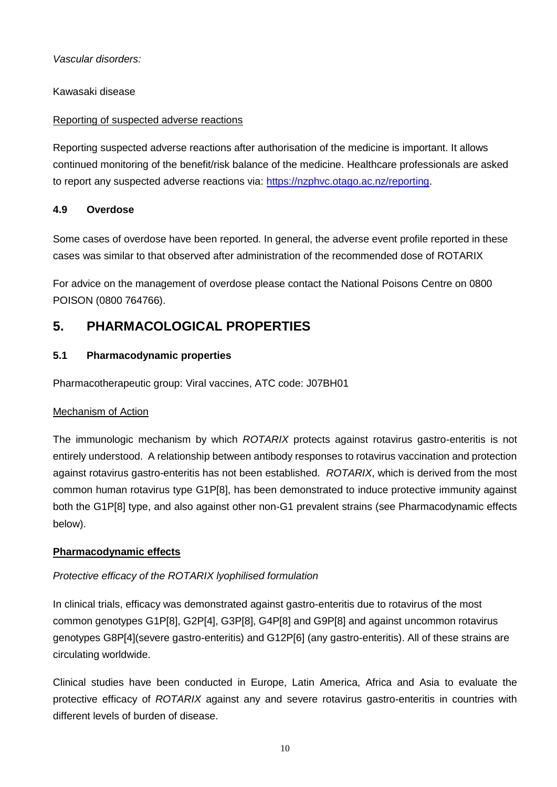*Vascular disorders:*

Kawasaki disease

### Reporting of suspected adverse reactions

Reporting suspected adverse reactions after authorisation of the medicine is important. It allows continued monitoring of the benefit/risk balance of the medicine. Healthcare professionals are asked to report any suspected adverse reactions via: [https://nzphvc.otago.ac.nz/reporting.](https://nzphvc.otago.ac.nz/reporting)

### **4.9 Overdose**

Some cases of overdose have been reported. In general, the adverse event profile reported in these cases was similar to that observed after administration of the recommended dose of ROTARIX

For advice on the management of overdose please contact the National Poisons Centre on 0800 POISON (0800 764766).

# **5. PHARMACOLOGICAL PROPERTIES**

# **5.1 Pharmacodynamic properties**

Pharmacotherapeutic group: Viral vaccines, ATC code: J07BH01

### Mechanism of Action

The immunologic mechanism by which *ROTARIX* protects against rotavirus gastro-enteritis is not entirely understood. A relationship between antibody responses to rotavirus vaccination and protection against rotavirus gastro-enteritis has not been established. *ROTARIX*, which is derived from the most common human rotavirus type G1P[8], has been demonstrated to induce protective immunity against both the G1P[8] type, and also against other non-G1 prevalent strains (see Pharmacodynamic effects below).

### **Pharmacodynamic effects**

### *Protective efficacy of the ROTARIX lyophilised formulation*

In clinical trials, efficacy was demonstrated against gastro-enteritis due to rotavirus of the most common genotypes G1P[8], G2P[4], G3P[8], G4P[8] and G9P[8] and against uncommon rotavirus genotypes G8P[4](severe gastro-enteritis) and G12P[6] (any gastro-enteritis). All of these strains are circulating worldwide.

Clinical studies have been conducted in Europe, Latin America, Africa and Asia to evaluate the protective efficacy of *ROTARIX* against any and severe rotavirus gastro-enteritis in countries with different levels of burden of disease.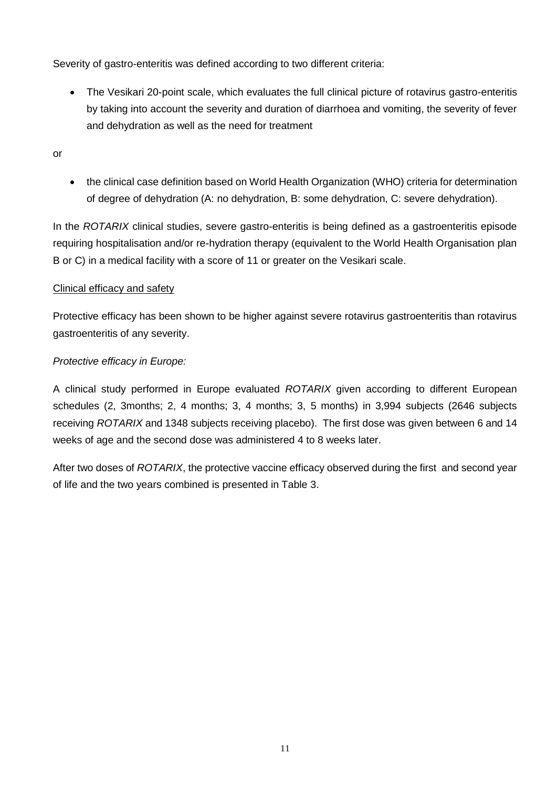Severity of gastro-enteritis was defined according to two different criteria:

- The Vesikari 20-point scale, which evaluates the full clinical picture of rotavirus gastro-enteritis by taking into account the severity and duration of diarrhoea and vomiting, the severity of fever and dehydration as well as the need for treatment
- or
- the clinical case definition based on World Health Organization (WHO) criteria for determination of degree of dehydration (A: no dehydration, B: some dehydration, C: severe dehydration).

In the *ROTARIX* clinical studies, severe gastro-enteritis is being defined as a gastroenteritis episode requiring hospitalisation and/or re-hydration therapy (equivalent to the World Health Organisation plan B or C) in a medical facility with a score of 11 or greater on the Vesikari scale.

### Clinical efficacy and safety

Protective efficacy has been shown to be higher against severe rotavirus gastroenteritis than rotavirus gastroenteritis of any severity.

### *Protective efficacy in Europe:*

A clinical study performed in Europe evaluated *ROTARIX* given according to different European schedules (2, 3months; 2, 4 months; 3, 4 months; 3, 5 months) in 3,994 subjects (2646 subjects receiving *ROTARIX* and 1348 subjects receiving placebo). The first dose was given between 6 and 14 weeks of age and the second dose was administered 4 to 8 weeks later.

After two doses of *ROTARIX*, the protective vaccine efficacy observed during the first and second year of life and the two years combined is presented in Table 3.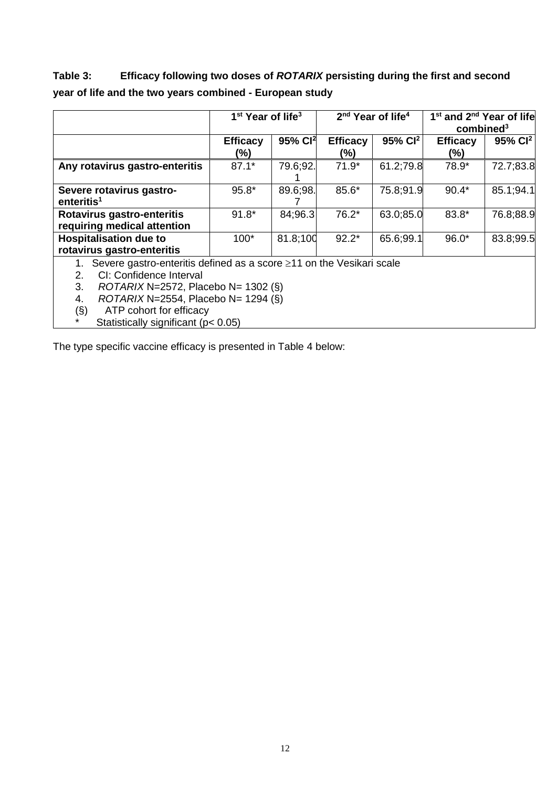# **Table 3: Efficacy following two doses of** *ROTARIX* **persisting during the first and second year of life and the two years combined - European study**

|                                                                                                                                                                                                                                                                                                         | 1 <sup>st</sup> Year of life <sup>3</sup> |                     |                        | 2 <sup>nd</sup> Year of life <sup>4</sup> | 1 <sup>st</sup> and 2 <sup>nd</sup> Year of life<br>combined <sup>3</sup> |                     |  |
|---------------------------------------------------------------------------------------------------------------------------------------------------------------------------------------------------------------------------------------------------------------------------------------------------------|-------------------------------------------|---------------------|------------------------|-------------------------------------------|---------------------------------------------------------------------------|---------------------|--|
|                                                                                                                                                                                                                                                                                                         | <b>Efficacy</b><br>(%)                    | 95% Cl <sup>2</sup> | <b>Efficacy</b><br>(%) | 95% Cl <sup>2</sup>                       | <b>Efficacy</b><br>(%)                                                    | 95% Cl <sup>2</sup> |  |
| Any rotavirus gastro-enteritis                                                                                                                                                                                                                                                                          | $87.1*$                                   | 79.6;92.            | $71.9*$                | 61.2;79.8                                 | 78.9*                                                                     | 72.7;83.8           |  |
| Severe rotavirus gastro-<br>enteritis <sup>1</sup>                                                                                                                                                                                                                                                      | 95.8*                                     | 89.6;98.            | 85.6*                  | 75.8;91.9                                 | $90.4*$                                                                   | 85.1;94.1           |  |
| Rotavirus gastro-enteritis<br>requiring medical attention                                                                                                                                                                                                                                               | $91.8*$                                   | 84;96.3             | $76.2*$                | 63.0;85.0                                 | 83.8*                                                                     | 76.8;88.9           |  |
| <b>Hospitalisation due to</b><br>rotavirus gastro-enteritis                                                                                                                                                                                                                                             | $100*$                                    | 81.8;100            | $92.2*$                | 65.6;99.1                                 | $96.0*$                                                                   | 83.8;99.5           |  |
| Severe gastro-enteritis defined as a score $\geq$ 11 on the Vesikari scale<br>CI: Confidence Interval<br>2.<br>3.<br>$ROTARIX N=2572$ , Placebo N= 1302 (§)<br>$ROTARIX N=2554$ , Placebo N= 1294 (§)<br>4.<br>$(\S)$<br>ATP cohort for efficacy<br>$\star$<br>Statistically significant ( $p < 0.05$ ) |                                           |                     |                        |                                           |                                                                           |                     |  |

The type specific vaccine efficacy is presented in Table 4 below: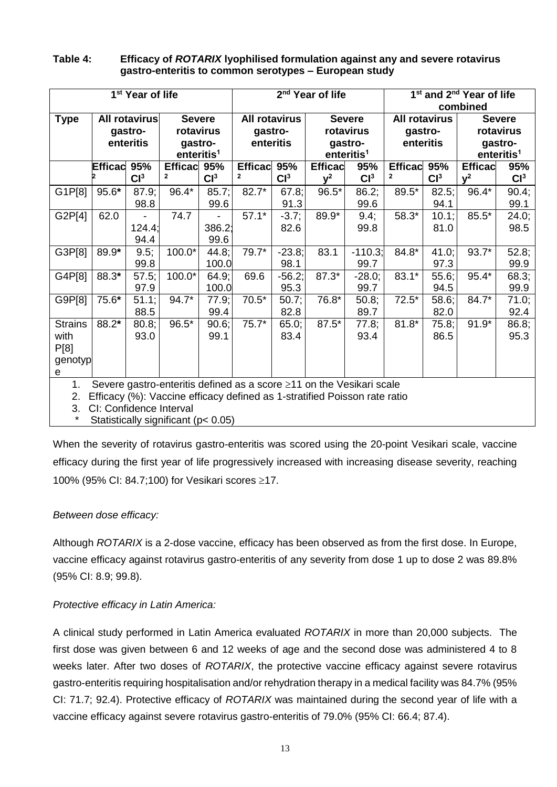#### **Table 4: Efficacy of** *ROTARIX* **lyophilised formulation against any and severe rotavirus gastro-enteritis to common serotypes – European study**

| 1 <sup>st</sup> Year of life                                                    |                |                 | 2 <sup>nd</sup> Year of life |                 |                      | 1 <sup>st</sup> and 2 <sup>nd</sup> Year of life |                |                        |                      |                 |                |                        |
|---------------------------------------------------------------------------------|----------------|-----------------|------------------------------|-----------------|----------------------|--------------------------------------------------|----------------|------------------------|----------------------|-----------------|----------------|------------------------|
|                                                                                 |                |                 |                              |                 |                      | combined                                         |                |                        |                      |                 |                |                        |
| <b>Type</b>                                                                     |                | All rotavirus   | <b>Severe</b>                |                 | <b>All rotavirus</b> |                                                  |                | <b>Severe</b>          | <b>All rotavirus</b> |                 |                | <b>Severe</b>          |
|                                                                                 |                | gastro-         | rotavirus                    |                 | gastro-              |                                                  |                | rotavirus              | gastro-              |                 |                | rotavirus              |
|                                                                                 |                | enteritis       | gastro-                      |                 | enteritis            |                                                  |                | gastro-                | enteritis            |                 |                | gastro-                |
|                                                                                 |                |                 | enteritis <sup>1</sup>       |                 |                      |                                                  |                | enteritis <sup>1</sup> |                      |                 |                | enteritis <sup>1</sup> |
|                                                                                 | <b>Efficac</b> | 95%             | <b>Efficac</b>               | 95%             | <b>Efficac</b>       | 95%                                              | <b>Efficac</b> | 95%                    | <b>Efficac</b>       | 95%             | <b>Efficac</b> | 95%                    |
|                                                                                 |                | Cl <sup>3</sup> | 2                            | Cl <sup>3</sup> | $\mathbf{2}$         | Cl <sup>3</sup>                                  | $v^2$          | Cl <sup>3</sup>        | 2                    | Cl <sup>3</sup> | $v^2$          | Cl <sup>3</sup>        |
| G1P[8]                                                                          | 95.6*          | 87.9;           | 96.4*                        | 85.7;           | $82.7*$              | 67.8;                                            | $96.5*$        | 86.2;                  | 89.5*                | 82.5;           | 96.4*          | $90.4$ ;               |
|                                                                                 |                | 98.8            |                              | 99.6            |                      | 91.3                                             |                | 99.6                   |                      | 94.1            |                | 99.1                   |
| G2P[4]                                                                          | 62.0           |                 | 74.7                         |                 | $57.1*$              | $-3.7;$                                          | 89.9*          | 9.4;                   | 58.3*                | 10.1;           | $85.5*$        | 24.0;                  |
|                                                                                 |                | 124.4;          |                              | 386.2           |                      | 82.6                                             |                | 99.8                   |                      | 81.0            |                | 98.5                   |
|                                                                                 |                | 94.4            |                              | 99.6            |                      |                                                  |                |                        |                      |                 |                |                        |
| G3P[8]                                                                          | 89.9*          | 9.5;            | 100.0*                       | 44.8;           | 79.7*                | $-23.8;$                                         | 83.1           | $-110.3;$              | 84.8*                | 41.0;           | $93.7*$        | 52.8;                  |
|                                                                                 |                | 99.8            |                              | 100.0           |                      | 98.1                                             |                | 99.7                   |                      | 97.3            |                | 99.9                   |
| G4P[8]                                                                          | 88.3*          | 57.5;           | 100.0*                       | 64.9;           | 69.6                 | $-56.2;$                                         | $87.3*$        | $-28.0;$               | $83.1*$              | 55.6;           | $95.4*$        | 68.3;                  |
|                                                                                 |                | 97.9            |                              | 100.0           |                      | 95.3                                             |                | 99.7                   |                      | 94.5            |                | 99.9                   |
| G9P[8]                                                                          | 75.6*          | 51.1;           | $94.7*$                      | 77.9;           | $70.5*$              | 50.7;                                            | 76.8*          | 50.8;                  | $72.5*$              | 58.6;           | 84.7*          | 71.0;                  |
|                                                                                 |                | 88.5            |                              | 99.4            |                      | 82.8                                             |                | 89.7                   |                      | 82.0            |                | 92.4                   |
| <b>Strains</b>                                                                  | 88.2*          | 80.8;           | 96.5*                        | 90.6;           | $75.7*$              | 65.0;                                            | $87.5*$        | 77.8;                  | $81.8*$              | 75.8;           | $91.9*$        | 86.8;                  |
| with                                                                            |                | 93.0            |                              | 99.1            |                      | 83.4                                             |                | 93.4                   |                      | 86.5            |                | 95.3                   |
| P[8]                                                                            |                |                 |                              |                 |                      |                                                  |                |                        |                      |                 |                |                        |
| genotyp                                                                         |                |                 |                              |                 |                      |                                                  |                |                        |                      |                 |                |                        |
| $\mathbf e$                                                                     |                |                 |                              |                 |                      |                                                  |                |                        |                      |                 |                |                        |
| Severe gastro-enteritis defined as a score ≥11 on the Vesikari scale<br>1.      |                |                 |                              |                 |                      |                                                  |                |                        |                      |                 |                |                        |
| Efficacy (%): Vaccine efficacy defined as 1-stratified Poisson rate ratio<br>2. |                |                 |                              |                 |                      |                                                  |                |                        |                      |                 |                |                        |
| 3.<br>CI: Confidence Interval                                                   |                |                 |                              |                 |                      |                                                  |                |                        |                      |                 |                |                        |

\* Statistically significant (p< 0.05)

When the severity of rotavirus gastro-enteritis was scored using the 20-point Vesikari scale, vaccine efficacy during the first year of life progressively increased with increasing disease severity, reaching 100% (95% CI: 84.7;100) for Vesikari scores ≥17.

### *Between dose efficacy:*

Although *ROTARIX* is a 2-dose vaccine, efficacy has been observed as from the first dose. In Europe, vaccine efficacy against rotavirus gastro-enteritis of any severity from dose 1 up to dose 2 was 89.8% (95% CI: 8.9; 99.8).

### *Protective efficacy in Latin America:*

A clinical study performed in Latin America evaluated *ROTARIX* in more than 20,000 subjects. The first dose was given between 6 and 12 weeks of age and the second dose was administered 4 to 8 weeks later. After two doses of *ROTARIX*, the protective vaccine efficacy against severe rotavirus gastro-enteritis requiring hospitalisation and/or rehydration therapy in a medical facility was 84.7% (95% CI: 71.7; 92.4). Protective efficacy of *ROTARIX* was maintained during the second year of life with a vaccine efficacy against severe rotavirus gastro-enteritis of 79.0% (95% CI: 66.4; 87.4).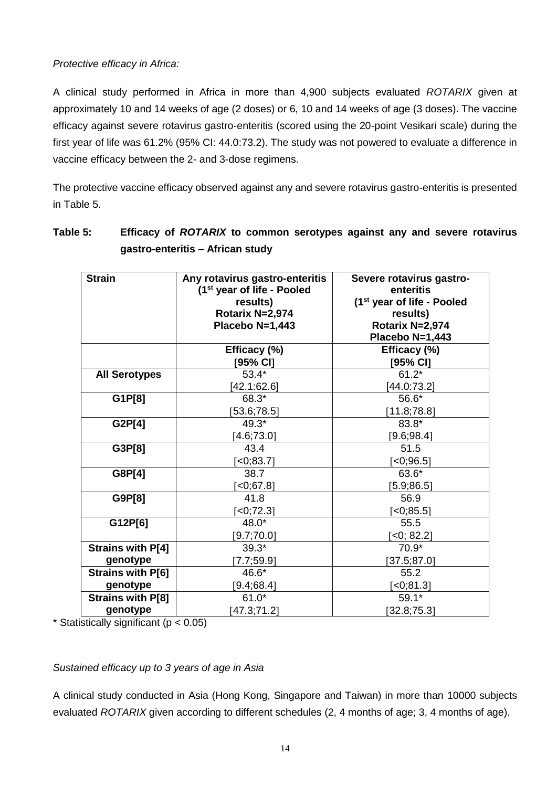### *Protective efficacy in Africa:*

A clinical study performed in Africa in more than 4,900 subjects evaluated *ROTARIX* given at approximately 10 and 14 weeks of age (2 doses) or 6, 10 and 14 weeks of age (3 doses). The vaccine efficacy against severe rotavirus gastro-enteritis (scored using the 20-point Vesikari scale) during the first year of life was 61.2% (95% CI: 44.0:73.2). The study was not powered to evaluate a difference in vaccine efficacy between the 2- and 3-dose regimens.

The protective vaccine efficacy observed against any and severe rotavirus gastro-enteritis is presented in Table 5.

| <b>Strain</b>            | Any rotavirus gastro-enteritis<br>(1 <sup>st</sup> year of life - Pooled<br>results)<br>Rotarix N=2,974<br>Placebo N=1,443 | Severe rotavirus gastro-<br>enteritis<br>(1 <sup>st</sup> year of life - Pooled<br>results)<br>Rotarix N=2,974<br>Placebo N=1,443 |
|--------------------------|----------------------------------------------------------------------------------------------------------------------------|-----------------------------------------------------------------------------------------------------------------------------------|
|                          | Efficacy (%)                                                                                                               | Efficacy (%)                                                                                                                      |
|                          | [95% CI]                                                                                                                   | [95% CI]                                                                                                                          |
| <b>All Serotypes</b>     | $53.4*$                                                                                                                    | $61.2*$                                                                                                                           |
|                          | [42.1:62.6]                                                                                                                | [44.0:73.2]                                                                                                                       |
| G1P[8]                   | 68.3*                                                                                                                      | 56.6*                                                                                                                             |
|                          | [53.6; 78.5]                                                                                                               | [11.8;78.8]                                                                                                                       |
| G2P[4]                   | 49.3*                                                                                                                      | 83.8*                                                                                                                             |
|                          | [4.6;73.0]                                                                                                                 | [9.6; 98.4]                                                                                                                       |
| G3P[8]                   | 43.4                                                                                                                       | 51.5                                                                                                                              |
|                          | $\left[ 0.83.7\right]$                                                                                                     | $-0;96.5$ ]                                                                                                                       |
| G8P[4]                   | 38.7                                                                                                                       | 63.6*                                                                                                                             |
|                          | $[-0, 67.8]$                                                                                                               | $[5.9;86.5]$                                                                                                                      |
| G9P[8]                   | 41.8                                                                                                                       | 56.9                                                                                                                              |
|                          | $[-0, 72.3]$                                                                                                               | $-0;85.5]$                                                                                                                        |
| G12P[6]                  | $48.0*$                                                                                                                    | 55.5                                                                                                                              |
|                          | [9.7; 70.0]                                                                                                                | $[-0; 82.2]$                                                                                                                      |
| <b>Strains with P[4]</b> | $39.3*$                                                                                                                    | $70.9*$                                                                                                                           |
| genotype                 | [7.7;59.9]                                                                                                                 | [37.5;87.0]                                                                                                                       |
| <b>Strains with P[6]</b> | 46.6*                                                                                                                      | 55.2                                                                                                                              |
| genotype                 | [9.4; 68.4]                                                                                                                | $[-0, 81.3]$                                                                                                                      |
| <b>Strains with P[8]</b> | $61.0*$                                                                                                                    | $59.1*$                                                                                                                           |
| genotype                 | [47.3; 71.2]                                                                                                               | [32.8; 75.3]                                                                                                                      |

# **Table 5: Efficacy of** *ROTARIX* **to common serotypes against any and severe rotavirus gastro-enteritis – African study**

 $*$  Statistically significant ( $p < 0.05$ )

### *Sustained efficacy up to 3 years of age in Asia*

A clinical study conducted in Asia (Hong Kong, Singapore and Taiwan) in more than 10000 subjects evaluated *ROTARIX* given according to different schedules (2, 4 months of age; 3, 4 months of age).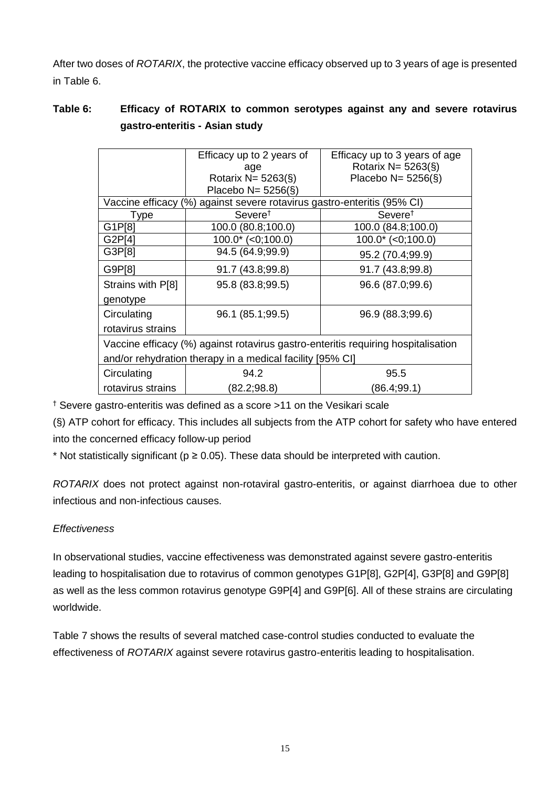After two doses of *ROTARIX*, the protective vaccine efficacy observed up to 3 years of age is presented in Table 6.

# **Table 6: Efficacy of ROTARIX to common serotypes against any and severe rotavirus gastro-enteritis - Asian study**

|                                                                                   | Efficacy up to 2 years of                                  | Efficacy up to 3 years of age |  |  |  |
|-----------------------------------------------------------------------------------|------------------------------------------------------------|-------------------------------|--|--|--|
|                                                                                   | age                                                        | Rotarix N= 5263(§)            |  |  |  |
|                                                                                   | Rotarix N= $5263(\S)$                                      | Placebo N= $5256(\S)$         |  |  |  |
|                                                                                   | Placebo N= $5256(\S)$                                      |                               |  |  |  |
| Vaccine efficacy                                                                  | against severe rotavirus gastro-enteritis (95% CI)<br>$\%$ |                               |  |  |  |
| Type                                                                              | Severe <sup>t</sup>                                        | Severe <sup>†</sup>           |  |  |  |
| G1P[8]                                                                            | 100.0 (80.8;100.0)                                         | 100.0 (84.8;100.0)            |  |  |  |
| G2P[4]                                                                            | $100.0^*$ (<0;100.0)                                       | $100.0^*$ (<0;100.0)          |  |  |  |
| G3P[8]                                                                            | 94.5 (64.9;99.9)                                           | 95.2 (70.4;99.9)              |  |  |  |
| G9P[8]                                                                            | 91.7 (43.8;99.8)                                           | 91.7 (43.8;99.8)              |  |  |  |
| Strains with P[8]                                                                 | 95.8 (83.8;99.5)                                           | 96.6 (87.0;99.6)              |  |  |  |
| genotype                                                                          |                                                            |                               |  |  |  |
| Circulating                                                                       | 96.1 (85.1;99.5)                                           | 96.9 (88.3;99.6)              |  |  |  |
| rotavirus strains                                                                 |                                                            |                               |  |  |  |
| Vaccine efficacy (%) against rotavirus gastro-enteritis requiring hospitalisation |                                                            |                               |  |  |  |
| and/or rehydration therapy in a medical facility [95% CI]                         |                                                            |                               |  |  |  |
| Circulating                                                                       | 94.2                                                       | 95.5                          |  |  |  |
| rotavirus strains                                                                 | (82.2; 98.8)                                               | (86.4;99.1)                   |  |  |  |

† Severe gastro-enteritis was defined as a score >11 on the Vesikari scale

(§) ATP cohort for efficacy. This includes all subjects from the ATP cohort for safety who have entered into the concerned efficacy follow-up period

\* Not statistically significant ( $p \ge 0.05$ ). These data should be interpreted with caution.

*ROTARIX* does not protect against non-rotaviral gastro-enteritis, or against diarrhoea due to other infectious and non-infectious causes.

# *Effectiveness*

In observational studies, vaccine effectiveness was demonstrated against severe gastro-enteritis leading to hospitalisation due to rotavirus of common genotypes G1P[8], G2P[4], G3P[8] and G9P[8] as well as the less common rotavirus genotype G9P[4] and G9P[6]. All of these strains are circulating worldwide.

Table 7 shows the results of several matched case-control studies conducted to evaluate the effectiveness of *ROTARIX* against severe rotavirus gastro-enteritis leading to hospitalisation.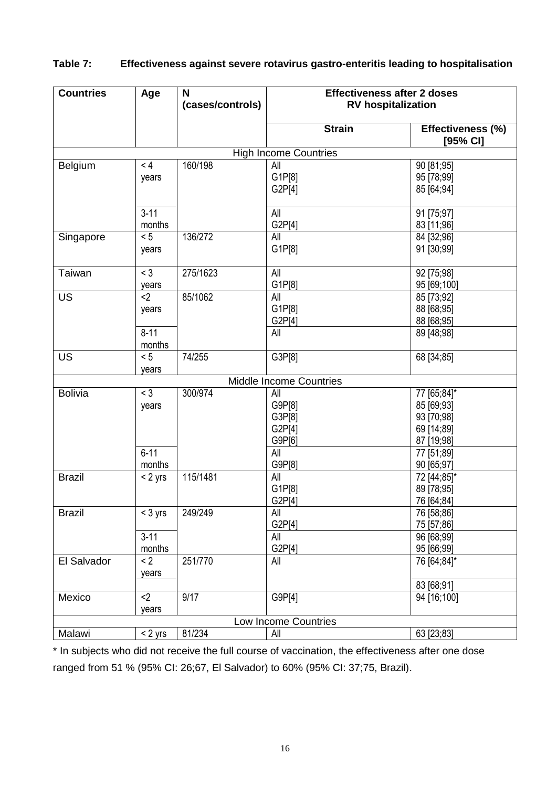| <b>Countries</b>             | Age                              | N<br>(cases/controls) | <b>Effectiveness after 2 doses</b><br><b>RV</b> hospitalization |                               |  |  |  |  |
|------------------------------|----------------------------------|-----------------------|-----------------------------------------------------------------|-------------------------------|--|--|--|--|
|                              |                                  |                       | <b>Strain</b>                                                   | Effectiveness (%)<br>[95% CI] |  |  |  |  |
| <b>High Income Countries</b> |                                  |                       |                                                                 |                               |  |  |  |  |
| Belgium                      | < 4                              | 160/198               | All                                                             | 90 [81;95]                    |  |  |  |  |
|                              | years                            |                       | G1P[8]                                                          | 95 [78;99]                    |  |  |  |  |
|                              |                                  |                       | G2P[4]                                                          | 85 [64;94]                    |  |  |  |  |
|                              | $3 - 11$                         |                       | All                                                             | 91 [75;97]                    |  |  |  |  |
|                              | months                           |                       | G2P[4]                                                          | 83 [11;96]                    |  |  |  |  |
| Singapore                    | < 5                              | 136/272               | All                                                             | 84 [32;96]                    |  |  |  |  |
|                              | years                            |                       | G1P[8]                                                          | 91 [30;99]                    |  |  |  |  |
| Taiwan                       | $<$ 3                            | 275/1623              | All                                                             | 92 [75;98]                    |  |  |  |  |
|                              | years                            |                       | G1P[8]                                                          | 95 [69;100]                   |  |  |  |  |
| <b>US</b>                    | $2$                              | 85/1062               | All                                                             | 85 [73;92]                    |  |  |  |  |
|                              | years                            |                       | G1P[8]                                                          | 88 [68;95]                    |  |  |  |  |
|                              |                                  |                       | G2P[4]                                                          | 88 [68;95]                    |  |  |  |  |
|                              | $8 - 11$                         |                       | All                                                             | 89 [48;98]                    |  |  |  |  |
|                              | months                           |                       |                                                                 |                               |  |  |  |  |
| <b>US</b>                    | < 5                              | 74/255                | G3P[8]                                                          | 68 [34;85]                    |  |  |  |  |
|                              | years<br>Middle Income Countries |                       |                                                                 |                               |  |  |  |  |
| <b>Bolivia</b>               | $<$ 3                            | 300/974               | All                                                             | 77 [65;84]*                   |  |  |  |  |
|                              | years                            |                       | G9P[8]                                                          | 85 [69;93]                    |  |  |  |  |
|                              |                                  |                       | G3P[8]                                                          | 93 [70;98]                    |  |  |  |  |
|                              |                                  |                       | G2P[4]                                                          | 69 [14;89]                    |  |  |  |  |
|                              |                                  |                       | G9P[6]                                                          | 87 [19;98]                    |  |  |  |  |
|                              | $6 - 11$                         |                       | All                                                             | 77 [51;89]                    |  |  |  |  |
|                              | months                           |                       | G9P[8]                                                          | 90 [65;97]                    |  |  |  |  |
| <b>Brazil</b>                | $< 2$ yrs                        | 115/1481              | All                                                             | 72 [44;85]*                   |  |  |  |  |
|                              |                                  |                       | G1P[8]                                                          | 89 [78;95]                    |  |  |  |  |
|                              |                                  |                       | G2P[4]                                                          | 76 [64;84]                    |  |  |  |  |
| <b>Brazil</b>                | $<$ 3 yrs                        | 249/249               | All                                                             | 76 [58;86]                    |  |  |  |  |
|                              |                                  |                       | G2P[4]                                                          | 75 [57;86]                    |  |  |  |  |
|                              | $3 - 11$                         |                       | All                                                             | 96 [68;99]                    |  |  |  |  |
|                              | months                           |                       | G2P[4]                                                          | 95 [66;99]                    |  |  |  |  |
| El Salvador                  | < 2                              | 251/770               | All                                                             | 76 [64;84]*                   |  |  |  |  |
|                              | years                            |                       |                                                                 |                               |  |  |  |  |
|                              |                                  |                       |                                                                 | 83 [68;91]                    |  |  |  |  |
| Mexico                       | $2$                              | 9/17                  | G9P[4]                                                          | 94 [16;100]                   |  |  |  |  |
|                              | years                            |                       |                                                                 |                               |  |  |  |  |
|                              |                                  |                       | Low Income Countries                                            |                               |  |  |  |  |
| Malawi                       | $< 2$ yrs                        | 81/234                | All                                                             | 63 [23;83]                    |  |  |  |  |

# **Table 7: Effectiveness against severe rotavirus gastro-enteritis leading to hospitalisation**

\* In subjects who did not receive the full course of vaccination, the effectiveness after one dose ranged from 51 % (95% CI: 26;67, El Salvador) to 60% (95% CI: 37;75, Brazil).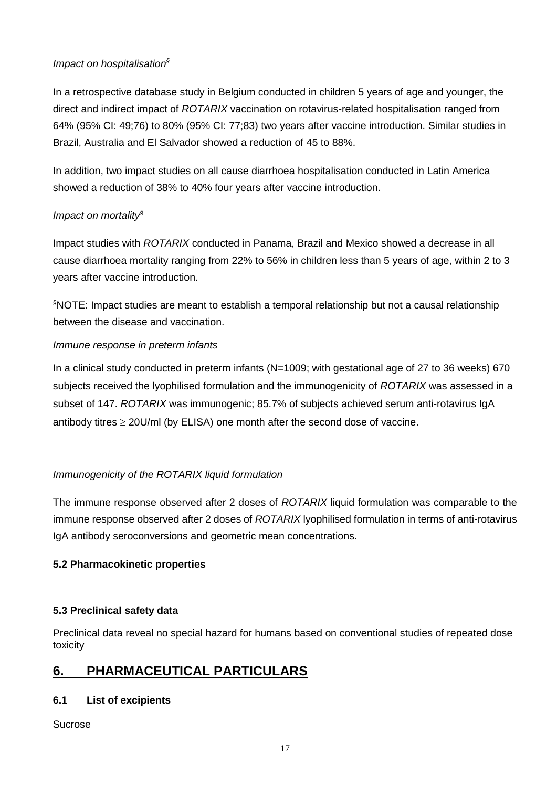# *Impact on hospitalisation§*

In a retrospective database study in Belgium conducted in children 5 years of age and younger, the direct and indirect impact of *ROTARIX* vaccination on rotavirus-related hospitalisation ranged from 64% (95% CI: 49;76) to 80% (95% CI: 77;83) two years after vaccine introduction. Similar studies in Brazil, Australia and El Salvador showed a reduction of 45 to 88%.

In addition, two impact studies on all cause diarrhoea hospitalisation conducted in Latin America showed a reduction of 38% to 40% four years after vaccine introduction.

# *Impact on mortality§*

Impact studies with *ROTARIX* conducted in Panama, Brazil and Mexico showed a decrease in all cause diarrhoea mortality ranging from 22% to 56% in children less than 5 years of age, within 2 to 3 years after vaccine introduction.

§NOTE: Impact studies are meant to establish a temporal relationship but not a causal relationship between the disease and vaccination.

# *Immune response in preterm infants*

In a clinical study conducted in preterm infants (N=1009; with gestational age of 27 to 36 weeks) 670 subjects received the lyophilised formulation and the immunogenicity of *ROTARIX* was assessed in a subset of 147. *ROTARIX* was immunogenic; 85.7% of subjects achieved serum anti-rotavirus IgA antibody titres  $\geq$  20U/ml (by ELISA) one month after the second dose of vaccine.

# *Immunogenicity of the ROTARIX liquid formulation*

The immune response observed after 2 doses of *ROTARIX* liquid formulation was comparable to the immune response observed after 2 doses of *ROTARIX* lyophilised formulation in terms of anti-rotavirus IgA antibody seroconversions and geometric mean concentrations.

### **5.2 Pharmacokinetic properties**

### **5.3 Preclinical safety data**

Preclinical data reveal no special hazard for humans based on conventional studies of repeated dose toxicity

# **6. PHARMACEUTICAL PARTICULARS**

# **6.1 List of excipients**

Sucrose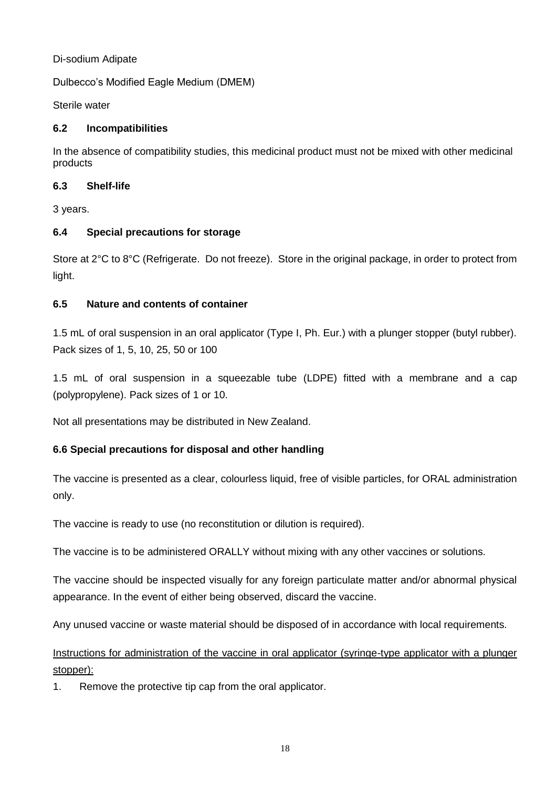### Di-sodium Adipate

Dulbecco's Modified Eagle Medium (DMEM)

Sterile water

### **6.2 Incompatibilities**

In the absence of compatibility studies, this medicinal product must not be mixed with other medicinal products

### **6.3 Shelf-life**

3 years.

### **6.4 Special precautions for storage**

Store at 2°C to 8°C (Refrigerate. Do not freeze). Store in the original package, in order to protect from light.

### **6.5 Nature and contents of container**

1.5 mL of oral suspension in an oral applicator (Type I, Ph. Eur.) with a plunger stopper (butyl rubber). Pack sizes of 1, 5, 10, 25, 50 or 100

1.5 mL of oral suspension in a squeezable tube (LDPE) fitted with a membrane and a cap (polypropylene). Pack sizes of 1 or 10.

Not all presentations may be distributed in New Zealand.

# **6.6 Special precautions for disposal and other handling**

The vaccine is presented as a clear, colourless liquid, free of visible particles, for ORAL administration only.

The vaccine is ready to use (no reconstitution or dilution is required).

The vaccine is to be administered ORALLY without mixing with any other vaccines or solutions.

The vaccine should be inspected visually for any foreign particulate matter and/or abnormal physical appearance. In the event of either being observed, discard the vaccine.

Any unused vaccine or waste material should be disposed of in accordance with local requirements.

# Instructions for administration of the vaccine in oral applicator (syringe-type applicator with a plunger stopper):

1. Remove the protective tip cap from the oral applicator.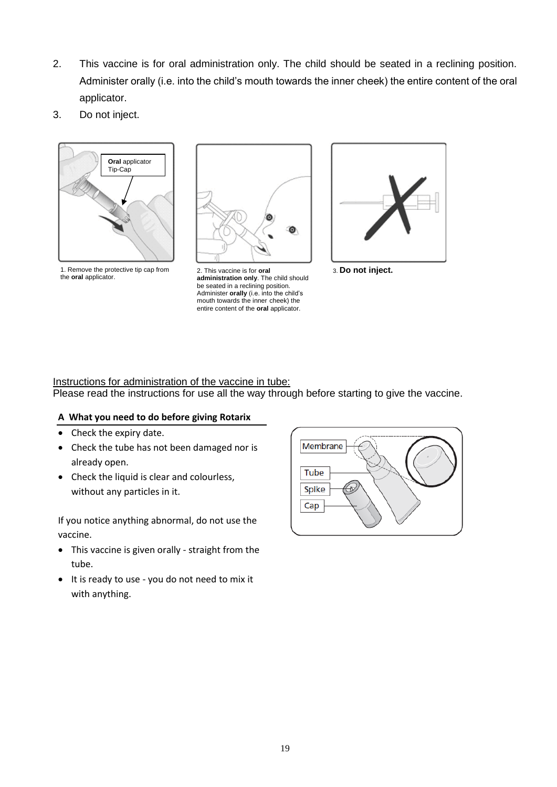- 2. This vaccine is for oral administration only. The child should be seated in a reclining position. Administer orally (i.e. into the child's mouth towards the inner cheek) the entire content of the oral applicator.
- 3. Do not inject.



1. Remove the protective tip cap from the **oral** applicator.



2. This vaccine is for **oral administration only**. The child should be seated in a reclining position. Administer **orally** (i.e. into the child's mouth towards the inner cheek) the entire content of the **oral** applicator.



3. **Do not inject.**

# Instructions for administration of the vaccine in tube:

Please read the instructions for use all the way through before starting to give the vaccine.

### **A What you need to do before giving Rotarix**

- Check the expiry date.
- Check the tube has not been damaged nor is already open.
- Check the liquid is clear and colourless, without any particles in it.

If you notice anything abnormal, do not use the vaccine.

- This vaccine is given orally straight from the tube.
- It is ready to use you do not need to mix it with anything.

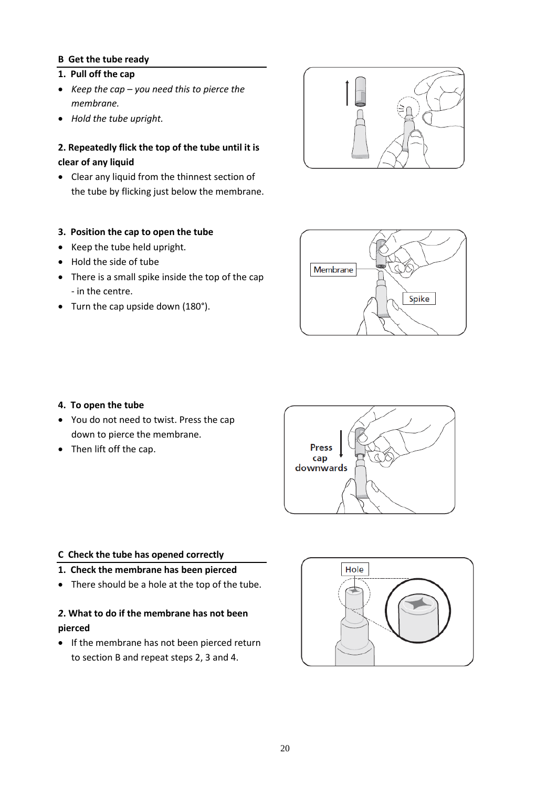### **B Get the tube ready**

#### **1. Pull off the cap**

- *Keep the cap – you need this to pierce the membrane.*
- *Hold the tube upright.*

### **2. Repeatedly flick the top of the tube until it is clear of any liquid**

• Clear any liquid from the thinnest section of the tube by flicking just below the membrane.

### **3. Position the cap to open the tube**

- Keep the tube held upright.
- Hold the side of tube
- There is a small spike inside the top of the cap - in the centre.
- Turn the cap upside down (180°).





#### **4. To open the tube**

- You do not need to twist. Press the cap down to pierce the membrane.
- Then lift off the cap.



#### **C Check the tube has opened correctly**

- **1. Check the membrane has been pierced**
- There should be a hole at the top of the tube.

### *2***. What to do if the membrane has not been pierced**

• If the membrane has not been pierced return to section B and repeat steps 2, 3 and 4.

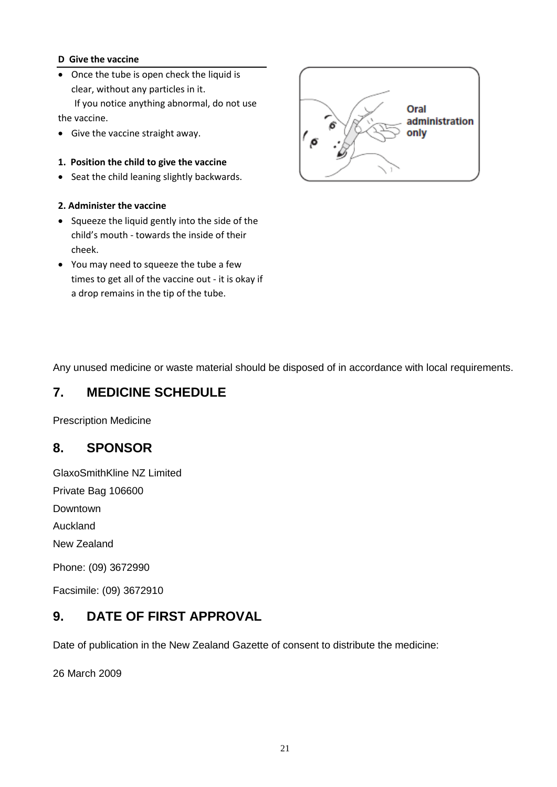### **D Give the vaccine**

• Once the tube is open check the liquid is clear, without any particles in it. If you notice anything abnormal, do not use

the vaccine.

- Give the vaccine straight away.
- **1. Position the child to give the vaccine**
- Seat the child leaning slightly backwards.
- **2. Administer the vaccine**
- Squeeze the liquid gently into the side of the child's mouth - towards the inside of their cheek.
- You may need to squeeze the tube a few times to get all of the vaccine out - it is okay if a drop remains in the tip of the tube.



Any unused medicine or waste material should be disposed of in accordance with local requirements.

# **7. MEDICINE SCHEDULE**

Prescription Medicine

# **8. SPONSOR**

GlaxoSmithKline NZ Limited Private Bag 106600 Downtown Auckland New Zealand Phone: (09) 3672990

Facsimile: (09) 3672910

# **9. DATE OF FIRST APPROVAL**

Date of publication in the New Zealand Gazette of consent to distribute the medicine:

26 March 2009